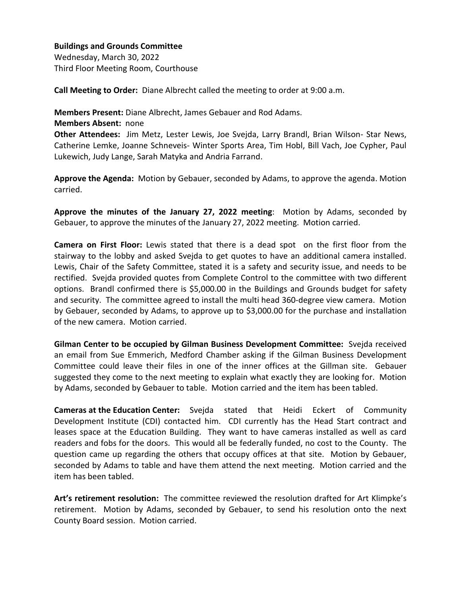## **Buildings and Grounds Committee**

Wednesday, March 30, 2022 Third Floor Meeting Room, Courthouse

**Call Meeting to Order:** Diane Albrecht called the meeting to order at 9:00 a.m.

**Members Present:** Diane Albrecht, James Gebauer and Rod Adams.

**Members Absent:** none

**Other Attendees:** Jim Metz, Lester Lewis, Joe Svejda, Larry Brandl, Brian Wilson- Star News, Catherine Lemke, Joanne Schneveis- Winter Sports Area, Tim Hobl, Bill Vach, Joe Cypher, Paul Lukewich, Judy Lange, Sarah Matyka and Andria Farrand.

**Approve the Agenda:** Motion by Gebauer, seconded by Adams, to approve the agenda. Motion carried.

**Approve the minutes of the January 27, 2022 meeting**: Motion by Adams, seconded by Gebauer, to approve the minutes of the January 27, 2022 meeting. Motion carried.

**Camera on First Floor:** Lewis stated that there is a dead spot on the first floor from the stairway to the lobby and asked Svejda to get quotes to have an additional camera installed. Lewis, Chair of the Safety Committee, stated it is a safety and security issue, and needs to be rectified. Svejda provided quotes from Complete Control to the committee with two different options. Brandl confirmed there is \$5,000.00 in the Buildings and Grounds budget for safety and security. The committee agreed to install the multi head 360-degree view camera. Motion by Gebauer, seconded by Adams, to approve up to \$3,000.00 for the purchase and installation of the new camera. Motion carried.

**Gilman Center to be occupied by Gilman Business Development Committee:** Svejda received an email from Sue Emmerich, Medford Chamber asking if the Gilman Business Development Committee could leave their files in one of the inner offices at the Gillman site. Gebauer suggested they come to the next meeting to explain what exactly they are looking for. Motion by Adams, seconded by Gebauer to table. Motion carried and the item has been tabled.

**Cameras at the Education Center:** Svejda stated that Heidi Eckert of Community Development Institute (CDI) contacted him. CDI currently has the Head Start contract and leases space at the Education Building. They want to have cameras installed as well as card readers and fobs for the doors. This would all be federally funded, no cost to the County. The question came up regarding the others that occupy offices at that site. Motion by Gebauer, seconded by Adams to table and have them attend the next meeting. Motion carried and the item has been tabled.

**Art's retirement resolution:** The committee reviewed the resolution drafted for Art Klimpke's retirement. Motion by Adams, seconded by Gebauer, to send his resolution onto the next County Board session. Motion carried.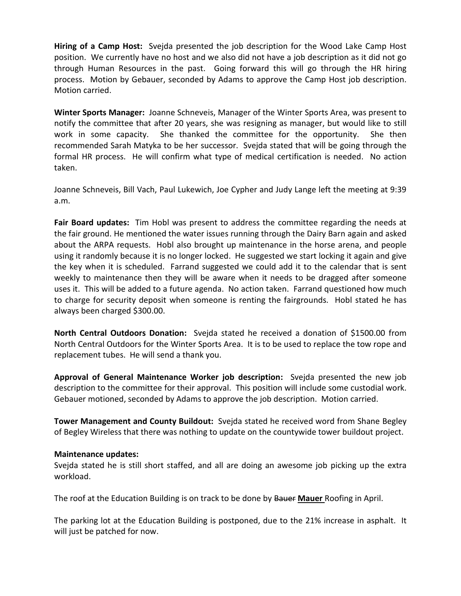**Hiring of a Camp Host:** Svejda presented the job description for the Wood Lake Camp Host position. We currently have no host and we also did not have a job description as it did not go through Human Resources in the past. Going forward this will go through the HR hiring process. Motion by Gebauer, seconded by Adams to approve the Camp Host job description. Motion carried.

**Winter Sports Manager:** Joanne Schneveis, Manager of the Winter Sports Area, was present to notify the committee that after 20 years, she was resigning as manager, but would like to still work in some capacity. She thanked the committee for the opportunity. She then recommended Sarah Matyka to be her successor. Svejda stated that will be going through the formal HR process. He will confirm what type of medical certification is needed. No action taken.

Joanne Schneveis, Bill Vach, Paul Lukewich, Joe Cypher and Judy Lange left the meeting at 9:39 a.m.

**Fair Board updates:** Tim Hobl was present to address the committee regarding the needs at the fair ground. He mentioned the water issues running through the Dairy Barn again and asked about the ARPA requests. Hobl also brought up maintenance in the horse arena, and people using it randomly because it is no longer locked. He suggested we start locking it again and give the key when it is scheduled. Farrand suggested we could add it to the calendar that is sent weekly to maintenance then they will be aware when it needs to be dragged after someone uses it. This will be added to a future agenda. No action taken. Farrand questioned how much to charge for security deposit when someone is renting the fairgrounds. Hobl stated he has always been charged \$300.00.

**North Central Outdoors Donation:** Svejda stated he received a donation of \$1500.00 from North Central Outdoors for the Winter Sports Area. It is to be used to replace the tow rope and replacement tubes. He will send a thank you.

**Approval of General Maintenance Worker job description:** Svejda presented the new job description to the committee for their approval. This position will include some custodial work. Gebauer motioned, seconded by Adams to approve the job description. Motion carried.

**Tower Management and County Buildout:** Svejda stated he received word from Shane Begley of Begley Wireless that there was nothing to update on the countywide tower buildout project.

## **Maintenance updates:**

Svejda stated he is still short staffed, and all are doing an awesome job picking up the extra workload.

The roof at the Education Building is on track to be done by Bauer **Mauer** Roofing in April.

The parking lot at the Education Building is postponed, due to the 21% increase in asphalt. It will just be patched for now.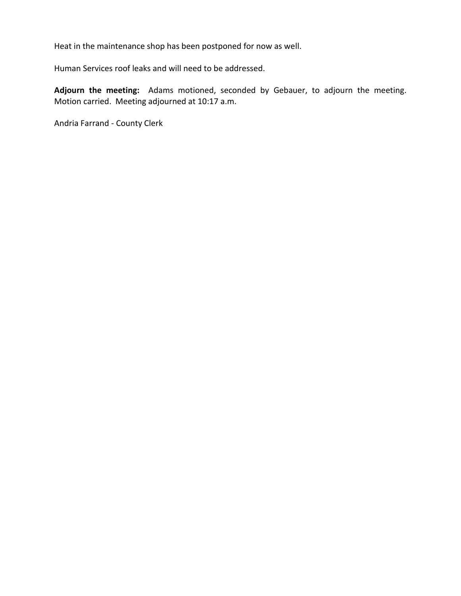Heat in the maintenance shop has been postponed for now as well.

Human Services roof leaks and will need to be addressed.

**Adjourn the meeting:** Adams motioned, seconded by Gebauer, to adjourn the meeting. Motion carried. Meeting adjourned at 10:17 a.m.

Andria Farrand - County Clerk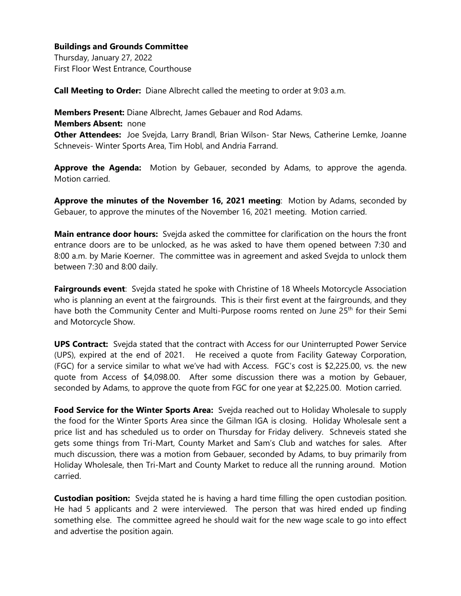## **Buildings and Grounds Committee**

Thursday, January 27, 2022 First Floor West Entrance, Courthouse

**Call Meeting to Order:** Diane Albrecht called the meeting to order at 9:03 a.m.

**Members Present:** Diane Albrecht, James Gebauer and Rod Adams.

**Members Absent:** none

**Other Attendees:** Joe Svejda, Larry Brandl, Brian Wilson- Star News, Catherine Lemke, Joanne Schneveis- Winter Sports Area, Tim Hobl, and Andria Farrand.

**Approve the Agenda:** Motion by Gebauer, seconded by Adams, to approve the agenda. Motion carried.

**Approve the minutes of the November 16, 2021 meeting**: Motion by Adams, seconded by Gebauer, to approve the minutes of the November 16, 2021 meeting. Motion carried.

**Main entrance door hours:** Svejda asked the committee for clarification on the hours the front entrance doors are to be unlocked, as he was asked to have them opened between 7:30 and 8:00 a.m. by Marie Koerner. The committee was in agreement and asked Svejda to unlock them between 7:30 and 8:00 daily.

**Fairgrounds event**: Svejda stated he spoke with Christine of 18 Wheels Motorcycle Association who is planning an event at the fairgrounds. This is their first event at the fairgrounds, and they have both the Community Center and Multi-Purpose rooms rented on June 25<sup>th</sup> for their Semi and Motorcycle Show.

**UPS Contract:** Svejda stated that the contract with Access for our Uninterrupted Power Service (UPS), expired at the end of 2021. He received a quote from Facility Gateway Corporation, (FGC) for a service similar to what we've had with Access. FGC's cost is \$2,225.00, vs. the new quote from Access of \$4,098.00. After some discussion there was a motion by Gebauer, seconded by Adams, to approve the quote from FGC for one year at \$2,225.00. Motion carried.

**Food Service for the Winter Sports Area:** Svejda reached out to Holiday Wholesale to supply the food for the Winter Sports Area since the Gilman IGA is closing. Holiday Wholesale sent a price list and has scheduled us to order on Thursday for Friday delivery. Schneveis stated she gets some things from Tri-Mart, County Market and Sam's Club and watches for sales. After much discussion, there was a motion from Gebauer, seconded by Adams, to buy primarily from Holiday Wholesale, then Tri-Mart and County Market to reduce all the running around. Motion carried.

**Custodian position:** Svejda stated he is having a hard time filling the open custodian position. He had 5 applicants and 2 were interviewed. The person that was hired ended up finding something else. The committee agreed he should wait for the new wage scale to go into effect and advertise the position again.